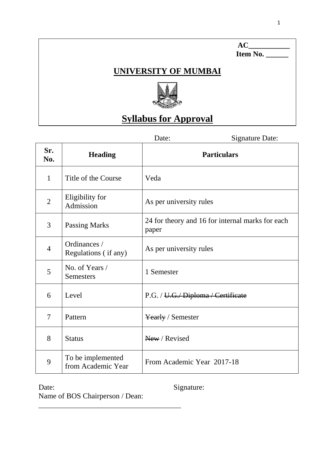### **UNIVERSITY OF MUMBAI**



## **Syllabus for Approval**

Date: Signature Date:

**AC\_\_\_\_\_\_\_\_\_\_\_** 

 **Item No. \_\_\_\_\_\_**

| Sr.<br>No.     | <b>Heading</b>                          | <b>Particulars</b>                                        |
|----------------|-----------------------------------------|-----------------------------------------------------------|
| $\mathbf{1}$   | Title of the Course                     | Veda                                                      |
| $\overline{2}$ | Eligibility for<br>Admission            | As per university rules                                   |
| 3              | <b>Passing Marks</b>                    | 24 for theory and 16 for internal marks for each<br>paper |
| $\overline{4}$ | Ordinances /<br>Regulations (if any)    | As per university rules                                   |
| 5              | No. of Years /<br><b>Semesters</b>      | 1 Semester                                                |
| 6              | Level                                   | P.G. / U.G. Diploma / Certificate                         |
| 7              | Pattern                                 | <b>Yearly / Semester</b>                                  |
| 8              | <b>Status</b>                           | New / Revised                                             |
| 9              | To be implemented<br>from Academic Year | From Academic Year 2017-18                                |

Date: Signature:

Name of BOS Chairperson / Dean:

\_\_\_\_\_\_\_\_\_\_\_\_\_\_\_\_\_\_\_\_\_\_\_\_\_\_\_\_\_\_\_\_\_\_\_\_\_\_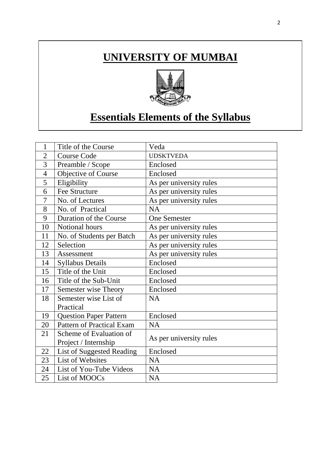# **UNIVERSITY OF MUMBAI**



# **Essentials Elements of the Syllabus**

| $\mathbf{1}$   | Title of the Course              | Veda                    |  |
|----------------|----------------------------------|-------------------------|--|
| $\overline{2}$ | <b>Course Code</b>               | <b>UDSKTVEDA</b>        |  |
| 3              | Preamble / Scope                 | Enclosed                |  |
| $\overline{4}$ | Objective of Course              | Enclosed                |  |
| 5              | Eligibility                      | As per university rules |  |
| 6              | <b>Fee Structure</b>             | As per university rules |  |
| 7              | No. of Lectures                  | As per university rules |  |
| 8              | No. of Practical                 | <b>NA</b>               |  |
| 9              | Duration of the Course           | <b>One Semester</b>     |  |
| 10             | Notional hours                   | As per university rules |  |
| 11             | No. of Students per Batch        | As per university rules |  |
| 12             | Selection                        | As per university rules |  |
| 13             | Assessment                       | As per university rules |  |
| 14             | <b>Syllabus Details</b>          | Enclosed                |  |
| 15             | Title of the Unit                | Enclosed                |  |
| 16             | Title of the Sub-Unit            | Enclosed                |  |
| 17             | Semester wise Theory             | Enclosed                |  |
| 18             | Semester wise List of            | <b>NA</b>               |  |
|                | Practical                        |                         |  |
| 19             | <b>Question Paper Pattern</b>    | Enclosed                |  |
| 20             | <b>Pattern of Practical Exam</b> | <b>NA</b>               |  |
| 21             | Scheme of Evaluation of          |                         |  |
|                | Project / Internship             | As per university rules |  |
| 22             | List of Suggested Reading        | Enclosed                |  |
| 23             | <b>List of Websites</b>          | <b>NA</b>               |  |
| 24             | List of You-Tube Videos          | <b>NA</b>               |  |
| 25             | List of MOOCs                    | <b>NA</b>               |  |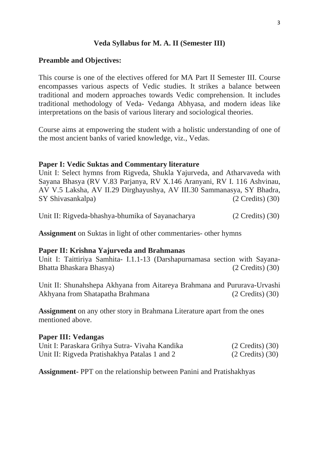#### **Veda Syllabus for M. A. II (Semester III)**

#### **Preamble and Objectives:**

This course is one of the electives offered for MA Part II Semester III. Course encompasses various aspects of Vedic studies. It strikes a balance between traditional and modern approaches towards Vedic comprehension. It includes traditional methodology of Veda- Vedanga Abhyasa, and modern ideas like interpretations on the basis of various literary and sociological theories.

Course aims at empowering the student with a holistic understanding of one of the most ancient banks of varied knowledge, viz., Vedas.

#### **Paper I: Vedic Suktas and Commentary literature**

Unit I: Select hymns from Rigveda, Shukla Yajurveda, and Atharvaveda with Sayana Bhasya (RV V.83 Parjanya, RV X.146 Aranyani, RV I. 116 Ashvinau, AV V.5 Laksha, AV II.29 Dirghayushya, AV III.30 Sammanasya, SY Bhadra, SY Shivasankalpa) (2 Credits) (30)

Unit II: Rigveda-bhashya-bhumika of Sayanacharya (2 Credits) (30)

**Assignment** on Suktas in light of other commentaries- other hymns

#### **Paper II: Krishna Yajurveda and Brahmanas**

Unit I: Taittiriya Samhita- I.1.1-13 (Darshapurnamasa section with Sayana-Bhatta Bhaskara Bhasya) (2 Credits) (30)

Unit II: Shunahshepa Akhyana from Aitareya Brahmana and Pururava-Urvashi Akhyana from Shatapatha Brahmana (2 Credits) (30)

**Assignment** on any other story in Brahmana Literature apart from the ones mentioned above.

#### **Paper III: Vedangas**

| Unit I: Paraskara Grihya Sutra- Vivaha Kandika | $(2 \text{ Credits})$ $(30)$ |
|------------------------------------------------|------------------------------|
| Unit II: Rigveda Pratishakhya Patalas 1 and 2  | $(2 \text{ Credits})$ $(30)$ |

**Assignment-** PPT on the relationship between Panini and Pratishakhyas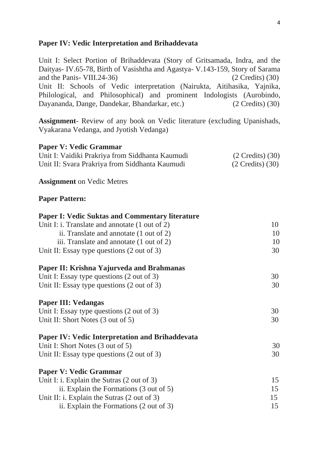#### **Paper IV: Vedic Interpretation and Brihaddevata**

**Paper V: Vedic Grammar**

Unit I: Select Portion of Brihaddevata (Story of Gritsamada, Indra, and the Daityas- IV.65-78, Birth of Vasishtha and Agastya- V.143-159, Story of Sarama and the Panis- VIII.24-36) (2 Credits) (30) Unit II: Schools of Vedic interpretation (Nairukta, Aitihasika, Yajnika, Philological, and Philosophical) and prominent Indologists (Aurobindo, Dayananda, Dange, Dandekar, Bhandarkar, etc.) (2 Credits) (30)

**Assignment**- Review of any book on Vedic literature (excluding Upanishads, Vyakarana Vedanga, and Jyotish Vedanga)

Unit I: Vaidiki Prakriya from Siddhanta Kaumudi (2 Credits) (30) Unit II: Svara Prakriya from Siddhanta Kaumudi (2 Credits) (30)

| <b>Assignment</b> on Vedic Metres                         |    |
|-----------------------------------------------------------|----|
| <b>Paper Pattern:</b>                                     |    |
| <b>Paper I: Vedic Suktas and Commentary literature</b>    |    |
| Unit I: i. Translate and annotate $(1 \text{ out of } 2)$ | 10 |
| ii. Translate and annotate $(1 \text{ out of } 2)$        | 10 |
| iii. Translate and annotate (1 out of 2)                  | 10 |
| Unit II: Essay type questions $(2 \text{ out of } 3)$     | 30 |
| Paper II: Krishna Yajurveda and Brahmanas                 |    |
| Unit I: Essay type questions $(2 \text{ out of } 3)$      | 30 |
| Unit II: Essay type questions (2 out of 3)                | 30 |
| <b>Paper III: Vedangas</b>                                |    |
| Unit I: Essay type questions $(2 \text{ out of } 3)$      | 30 |
| Unit II: Short Notes (3 out of 5)                         | 30 |
| <b>Paper IV: Vedic Interpretation and Brihaddevata</b>    |    |
| Unit I: Short Notes (3 out of 5)                          | 30 |
| Unit II: Essay type questions $(2 \text{ out of } 3)$     | 30 |
| <b>Paper V: Vedic Grammar</b>                             |    |
| Unit I: i. Explain the Sutras (2 out of 3)                | 15 |
| ii. Explain the Formations $(3 \text{ out of } 5)$        | 15 |
| Unit II: i. Explain the Sutras $(2 \text{ out of } 3)$    | 15 |
| ii. Explain the Formations (2 out of 3)                   | 15 |
|                                                           |    |